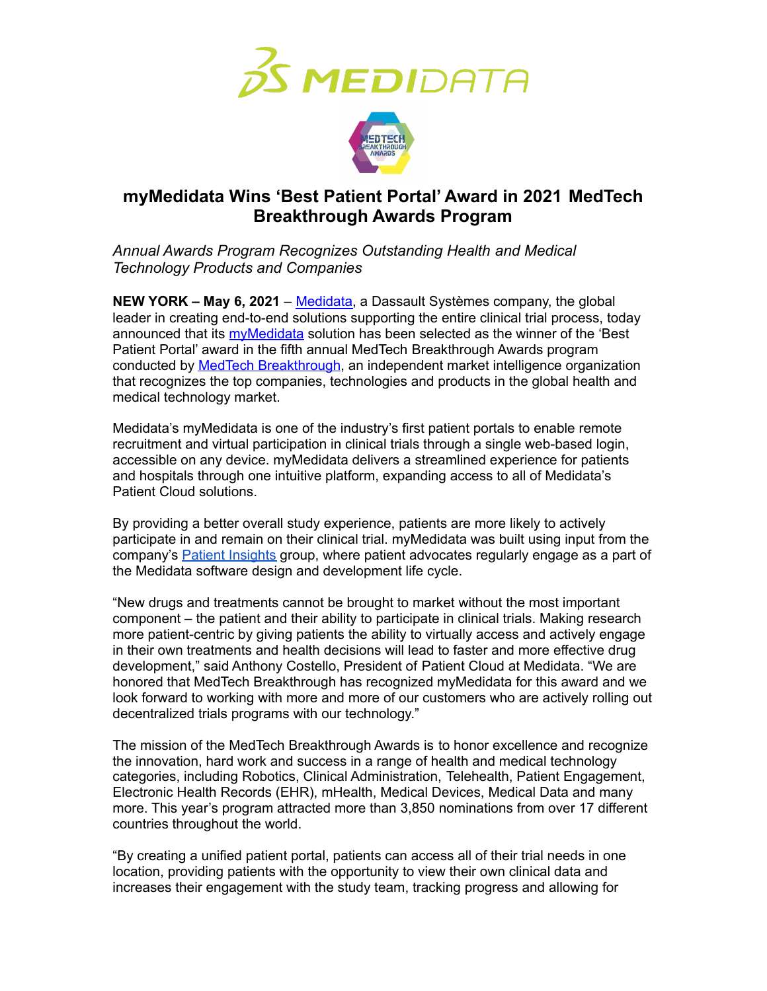



# **myMedidata Wins 'Best Patient Portal' Award in 2021 MedTech Breakthrough Awards Program**

*Annual Awards Program Recognizes Outstanding Health and Medical Technology Products and Companies*

**NEW YORK – May 6, 2021** – [Medidata,](https://www.medidata.com/) a Dassault Systèmes company, the global leader in creating end-to-end solutions supporting the entire clinical trial process, today announced that its [myMedidata](https://www.medidata.com/en/clinical-trial-products/patient-centric-clinical-trials/mymedidata) solution has been selected as the winner of the 'Best Patient Portal' award in the fifth annual MedTech Breakthrough Awards program conducted by MedTech [Breakthrough](https://medtechbreakthrough.com/), an independent market intelligence organization that recognizes the top companies, technologies and products in the global health and medical technology market.

Medidata's myMedidata is one of the industry's first patient portals to enable remote recruitment and virtual participation in clinical trials through a single web-based login, accessible on any device. myMedidata delivers a streamlined experience for patients and hospitals through one intuitive platform, expanding access to all of Medidata's Patient Cloud solutions.

By providing a better overall study experience, patients are more likely to actively participate in and remain on their clinical trial. myMedidata was built using input from the company's **Patient [Insights](https://www.medidata.com/en/clinical-trial-solutions/patient-insights) group, where patient advocates regularly engage as a part of** the Medidata software design and development life cycle.

"New drugs and treatments cannot be brought to market without the most important component – the patient and their ability to participate in clinical trials. Making research more patient-centric by giving patients the ability to virtually access and actively engage in their own treatments and health decisions will lead to faster and more effective drug development," said Anthony Costello, President of Patient Cloud at Medidata. "We are honored that MedTech Breakthrough has recognized myMedidata for this award and we look forward to working with more and more of our customers who are actively rolling out decentralized trials programs with our technology."

The mission of the MedTech Breakthrough Awards is to honor excellence and recognize the innovation, hard work and success in a range of health and medical technology categories, including Robotics, Clinical Administration, Telehealth, Patient Engagement, Electronic Health Records (EHR), mHealth, Medical Devices, Medical Data and many more. This year's program attracted more than 3,850 nominations from over 17 different countries throughout the world.

"By creating a unified patient portal, patients can access all of their trial needs in one location, providing patients with the opportunity to view their own clinical data and increases their engagement with the study team, tracking progress and allowing for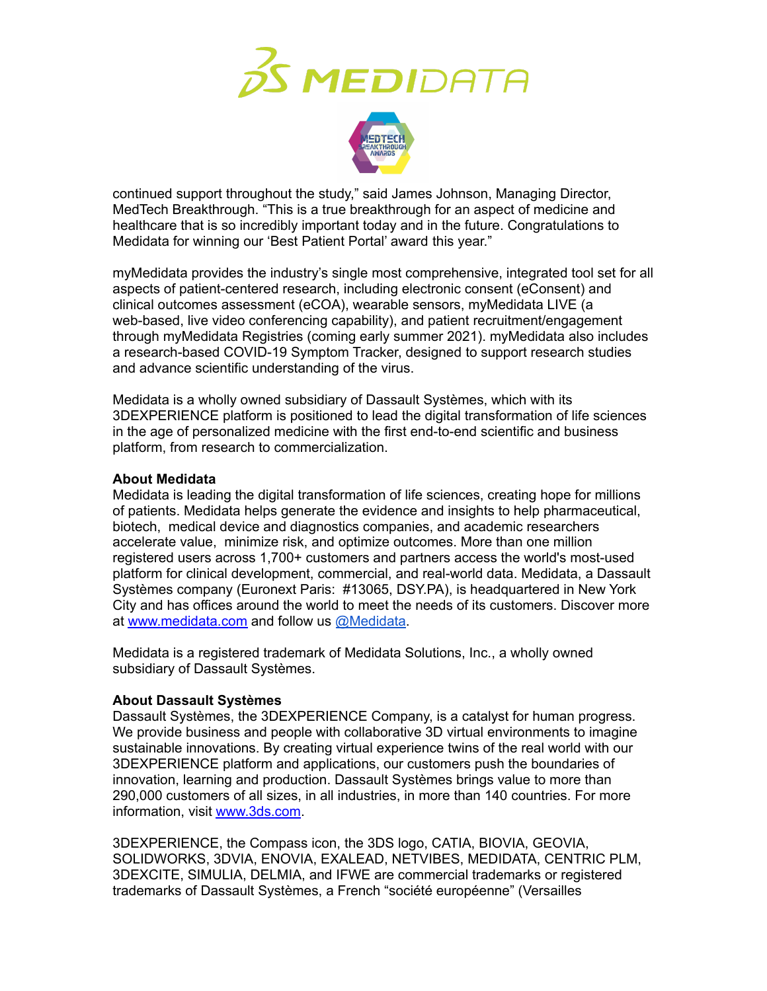



continued support throughout the study," said James Johnson, Managing Director, MedTech Breakthrough. "This is a true breakthrough for an aspect of medicine and healthcare that is so incredibly important today and in the future. Congratulations to Medidata for winning our 'Best Patient Portal' award this year."

myMedidata provides the industry's single most comprehensive, integrated tool set for all aspects of patient-centered research, including electronic consent (eConsent) and clinical outcomes assessment (eCOA), wearable sensors, myMedidata LIVE (a web-based, live video conferencing capability), and patient recruitment/engagement through myMedidata Registries (coming early summer 2021). myMedidata also includes a research-based COVID-19 Symptom Tracker, designed to support research studies and advance scientific understanding of the virus.

Medidata is a wholly owned subsidiary of Dassault Systèmes, which with its 3DEXPERIENCE platform is positioned to lead the digital transformation of life sciences in the age of personalized medicine with the first end-to-end scientific and business platform, from research to commercialization.

### **About Medidata**

Medidata is leading the digital transformation of life sciences, creating hope for millions of patients. Medidata helps generate the evidence and insights to help pharmaceutical, biotech, medical device and diagnostics companies, and academic researchers accelerate value, minimize risk, and optimize outcomes. More than one million registered users across 1,700+ customers and partners access the world's most-used platform for clinical development, commercial, and real-world data. Medidata, a Dassault Systèmes company (Euronext Paris: #13065, DSY.PA), is headquartered in New York City and has offices around the world to meet the needs of its customers. Discover more at [www.medidata.com](http://www.medidata.com) and follow us [@Medidata](http://www.twitter.com/medidata).

Medidata is a registered trademark of Medidata Solutions, Inc., a wholly owned subsidiary of Dassault Systèmes.

## **About Dassault Systèmes**

Dassault Systèmes, the 3DEXPERIENCE Company, is a catalyst for human progress. We provide business and people with collaborative 3D virtual environments to imagine sustainable innovations. By creating virtual experience twins of the real world with our 3DEXPERIENCE platform and applications, our customers push the boundaries of innovation, learning and production. Dassault Systèmes brings value to more than 290,000 customers of all sizes, in all industries, in more than 140 countries. For more information, visit [www.3ds.com](http://www.3ds.com).

3DEXPERIENCE, the Compass icon, the 3DS logo, CATIA, BIOVIA, GEOVIA, SOLIDWORKS, 3DVIA, ENOVIA, EXALEAD, NETVIBES, MEDIDATA, CENTRIC PLM, 3DEXCITE, SIMULIA, DELMIA, and IFWE are commercial trademarks or registered trademarks of Dassault Systèmes, a French "société européenne" (Versailles